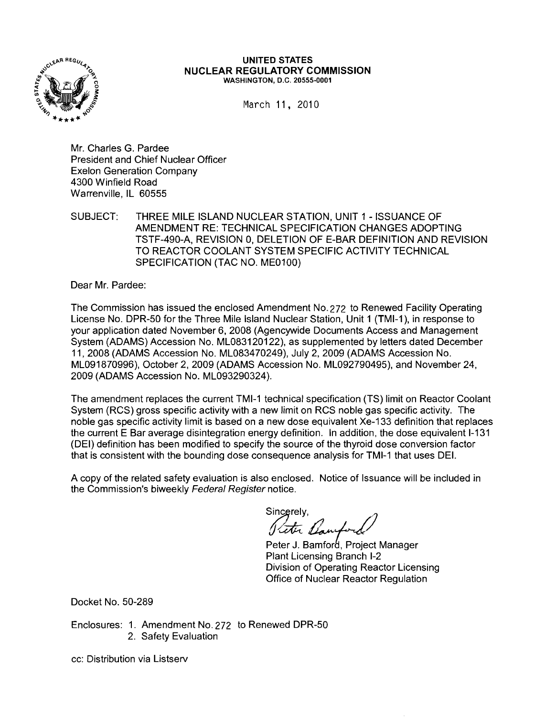

### **UNITED** STATES **NUCLEAR REGULATORY COMMISSION** WASHINGTON, D.C. 20555·0001

March 11, 2010

Mr. Charles G. Pardee President and Chief Nuclear Officer Exelon Generation Company 4300 Winfield Road Warrenville, IL 60555

SUBJECT: THREE MILE ISLAND NUCLEAR STATION, UNIT 1 - ISSUANCE OF AMENDMENT RE: TECHNICAL SPECIFICATION CHANGES ADOPTING TSTF-490-A, REVISION 0, DELETION OF E-BAR DEFINITION AND REVISION TO REACTOR COOLANT SYSTEM SPECIFIC ACTIVITY TECHNICAL SPECIFICATION (TAC NO. ME0100)

Dear Mr. Pardee:

The Commission has issued the enclosed Amendment No. 272 to Renewed Facility Operating License No. DPR-50 for the Three Mile Island Nuclear Station, Unit 1 (TMI-1), in response to your application dated November 6, 2008 (Agencywide Documents Access and Management System (ADAMS) Accession No. ML083120122), as supplemented by letters dated December 11, 2008 (ADAMS Accession No. ML083470249), July 2, 2009 (ADAMS Accession No. ML091870996), October 2, 2009 (ADAMS Accession No. ML092790495), and November 24, 2009 (ADAMS Accession No. ML093290324).

The amendment replaces the current TMI-1 technical specification (TS) limit on Reactor Coolant System (RCS) gross specific activity with a new limit on RCS noble gas specific activity. The noble gas specific activity limit is based on a new dose equivalent Xe-133 definition that replaces the current E Bar average disintegration energy definition. In addition, the dose equivalent 1-131 (DEI) definition has been modified to specify the source of the thyroid dose conversion factor that is consistent with the bounding dose consequence analysis for TMI-1 that uses DEI.

A copy of the related safety evaluation is also enclosed. Notice of Issuance will be included in the Commission's biweekly Federal Register notice.

Sincerely,  $\mathcal{A}$  / / Preter Banford

Peter J. Bamford, Project Manager Plant Licensing Branch 1-2 Division of Operating Reactor Licensing Office of Nuclear Reactor Regulation

Docket No. 50-289

Enclosures: 1. Amendment No. 272 to Renewed DPR-50 2. Safety Evaluation

cc: Distribution via Listserv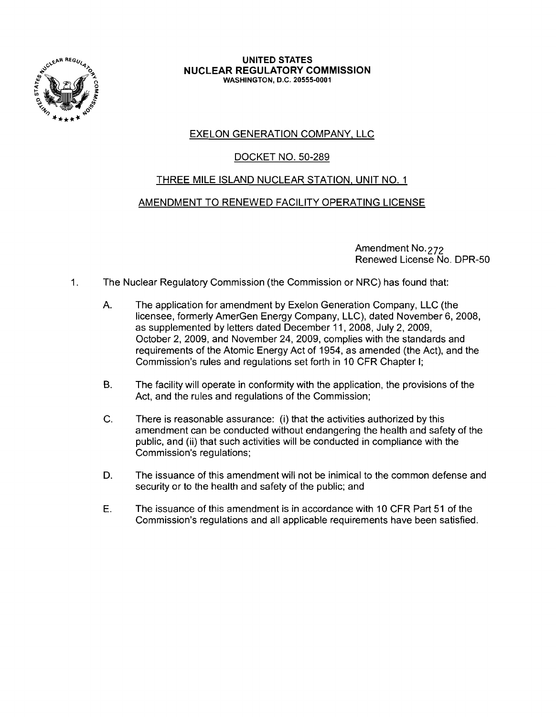

### **UNITED STATES NUCLEAR REGULATORY COMMISSION** WASHINGTON, D.C. 20555-0001

# EXELON GENERATION COMPANY, LLC

# DOCKET NO. 50-289

# THREE MILE ISLAND NUCLEAR STATION, UNIT NO.1

# AMENDMENT TO RENEWED FACILITY OPERATING LICENSE

Amendment No. 272 Renewed License No. DPR-50

- 1. The Nuclear Requiatory Commission (the Commission or NRC) has found that:
	- A. The application for amendment by Exelon Generation Company, LLC (the licensee, formerly AmerGen Energy Company, LLC), dated November 6, 2008, as supplemented by letters dated December 11, 2008, July 2, 2009, October 2, 2009, and November 24, 2009, complies with the standards and requirements of the Atomic Energy Act of 1954, as amended (the Act), and the Commission's rules and regulations set forth in 10 CFR Chapter I;
	- B. The facility will operate in conformity with the application, the provisions of the Act, and the rules and regulations of the Commission;
	- C. There is reasonable assurance: (i) that the activities authorized by this amendment can be conducted without endangering the health and safety of the public, and (ii) that such activities will be conducted in compliance with the Commission's regulations;
	- D. The issuance of this amendment will not be inimical to the common defense and security or to the health and safety of the public; and
	- E. The issuance of this amendment is in accordance with 10 CFR Part 51 of the Commission's regulations and all applicable requirements have been satisfied.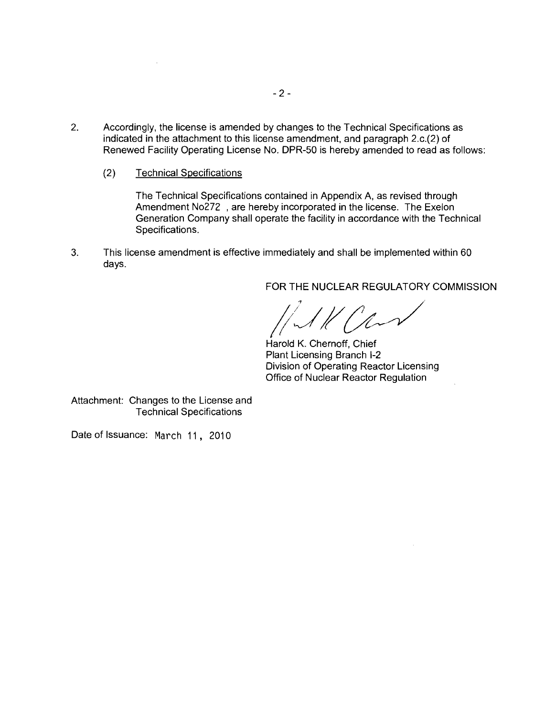- 2. Accordingly, the license is amended by changes to the Technical Specifications as indicated in the attachment to this license amendment, and paragraph 2.c.(2) of Renewed Facility Operating License No. DPR-50 is hereby amended to read as follows:
	- (2) Technical Specifications

The Technical Specifications contained in Appendix A, as revised through Amendment No272, are hereby incorporated in the license. The Exelon Generation Company shall operate the facility in accordance with the Technical Specifications.

3. This license amendment is effective immediately and shall be implemented within 60 days.

FOR THE NUCLEAR REGULATORY COMMISSION

 $^{\prime}/\mathcal{L}$ 

Harold K. Chernoff, Chief Plant Licensing Branch 1-2 Division of Operating Reactor Licensing Office of Nuclear Reactor Regulation

Attachment: Changes to the License and Technical Specifications

Date of Issuance: March 11, 2010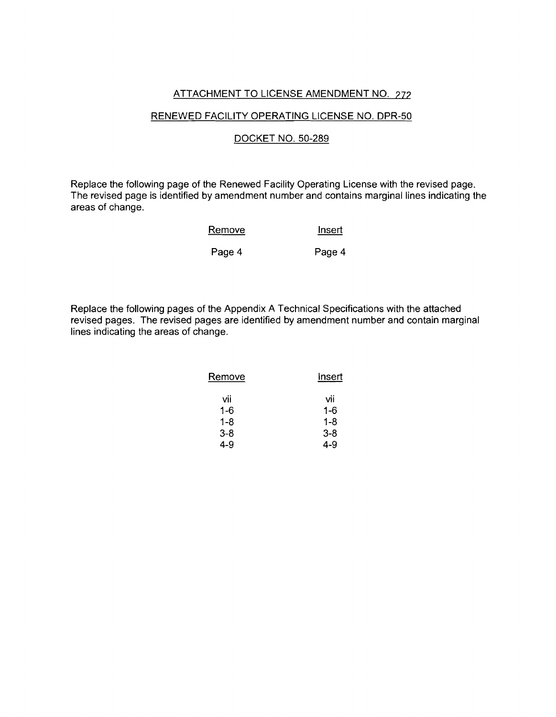## ATTACHMENT TO LICENSE AMENDMENT NO. 272

## RENEWED FACILITY OPERATING LICENSE NO. DPR-50

## DOCKET NO. 50-289

Replace the following page of the Renewed Facility Operating License with the revised page. The revised page is identified by amendment number and contains marginal lines indicating the areas of change.

| Remove | Insert |
|--------|--------|
| Page 4 | Page 4 |

Replace the following pages of the Appendix A Technical Specifications with the attached revised pages. The revised pages are identified by amendment number and contain marginal lines indicating the areas of change.

| Remove | Insert  |  |  |
|--------|---------|--|--|
| vii    | vii     |  |  |
| 1-6    | $1 - 6$ |  |  |
| 1-8    | 1-8     |  |  |
| 3-8    | $3 - 8$ |  |  |
| 4-9    | 4-9     |  |  |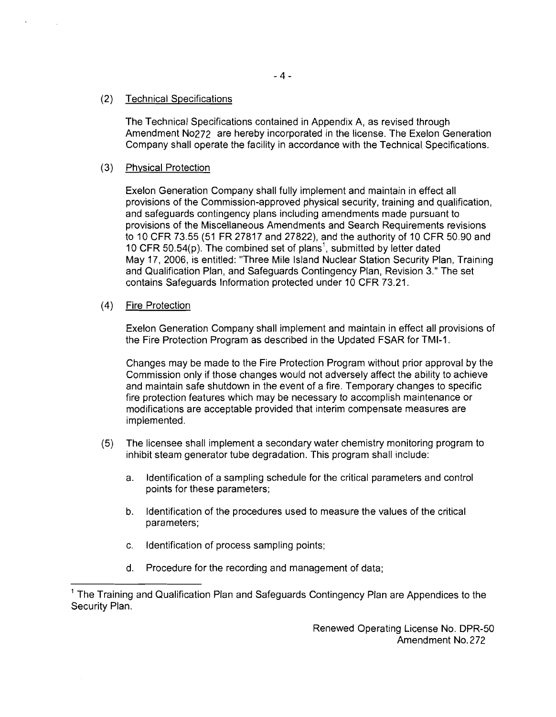The Technical Specifications contained in Appendix A, as revised through Amendment N0272 are hereby incorporated in the license. The Exelon Generation Company shall operate the facility in accordance with the Technical. Specifications.

# (3) Physical Protection

Exelon Generation Company shall fully implement and maintain in effect all provisions of the Commission-approved physical security, training and qualification, and safeguards contingency plans including amendments made pursuant to provisions of the Miscellaneous Amendments and Search Requirements revisions to 10 CFR 73.55 (51 FR 27817 and 27822), and the authority of 10 CFR 50.90 and 10 CFR 50.54(p). The combined set of plans<sup>1</sup>, submitted by letter dated May 17, 2006, is entitled: "Three Mile Island Nuclear Station Security Plan, Training and Qualification Plan, and Safeguards Contingency Plan, Revision 3." The set contains Safeguards Information protected under 10 CFR 73.21.

(4) Fire Protection

Exelon Generation Company shall implement and maintain in effect all provisions of the Fire Protection Program as described in the Updated FSAR for TMI-1.

Changes may be made to the Fire Protection Program without prior approval by the Commission only if those changes would not adversely affect the ability to achieve and maintain safe shutdown in the event of a fire. Temporary changes to specific fire protection features which may be necessary to accomplish maintenance or modifications are acceptable provided that interim compensate measures are implemented.

- (5) The licensee shall implement a secondary water chemistry monitoring program to inhibit steam generator tube degradation. This program shall include:
	- a. Identification of a sampling schedule for the critical parameters and control points for these parameters;
	- b. Identification of the procedures used to measure the values of the critical parameters;
	- c. Identification of process sampling points;
	- d. Procedure for the recording and management of data;

Renewed Operating License No. DPR-50 Amendment NO.272

<sup>&</sup>lt;sup>1</sup> The Training and Qualification Plan and Safeguards Contingency Plan are Appendices to the Security Plan.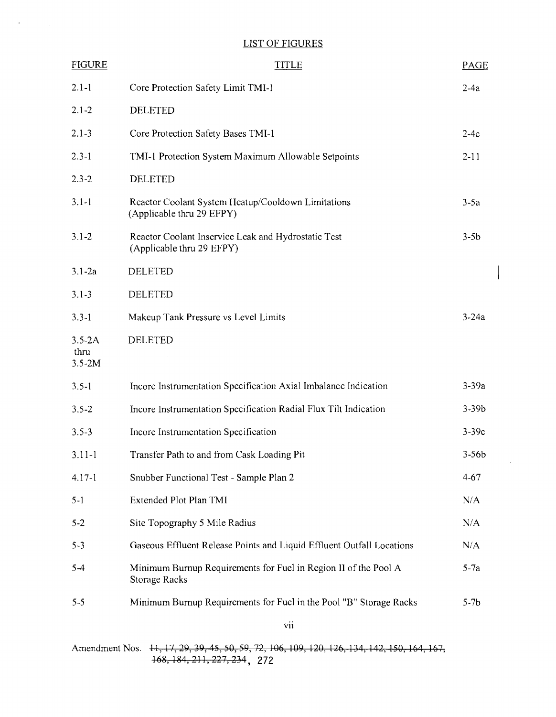# LIST OF FIGURES

 $\sim$ 

 $\mathcal{L}^{\text{max}}_{\text{max}}$ 

| <b>FIGURE</b>                    | <b>TITLE</b>                                                                            | <b>PAGE</b> |
|----------------------------------|-----------------------------------------------------------------------------------------|-------------|
| $2.1 - 1$                        | Core Protection Safety Limit TMI-1                                                      | $2-4a$      |
| $2.1 - 2$                        | <b>DELETED</b>                                                                          |             |
| $2.1 - 3$                        | Core Protection Safety Bases TMI-1                                                      | $2-4c$      |
| $2.3 - 1$                        | TMI-1 Protection System Maximum Allowable Setpoints                                     | $2 - 11$    |
| $2.3 - 2$                        | <b>DELETED</b>                                                                          |             |
| $3.1 - 1$                        | Reactor Coolant System Heatup/Cooldown Limitations<br>(Applicable thru 29 EFPY)         | $3-5a$      |
| $3.1 - 2$                        | Reactor Coolant Inservice Leak and Hydrostatic Test<br>(Applicable thru 29 EFPY)        | $3-5b$      |
| $3.1 - 2a$                       | <b>DELETED</b>                                                                          |             |
| $3.1 - 3$                        | <b>DELETED</b>                                                                          |             |
| $3.3 - 1$                        | Makeup Tank Pressure vs Level Limits                                                    | $3-24a$     |
| $3.5 - 2A$<br>thru<br>$3.5 - 2M$ | <b>DELETED</b>                                                                          |             |
| $3.5 - 1$                        | Incore Instrumentation Specification Axial Imbalance Indication                         | $3-39a$     |
| $3.5 - 2$                        | Incore Instrumentation Specification Radial Flux Tilt Indication                        | $3 - 39b$   |
| $3.5 - 3$                        | Incore Instrumentation Specification                                                    | $3-39c$     |
| $3.11 - 1$                       | Transfer Path to and from Cask Loading Pit                                              | $3-56b$     |
| $4.17 - 1$                       | Snubber Functional Test - Sample Plan 2                                                 | $4 - 67$    |
| $5 - 1$                          | Extended Plot Plan TMI                                                                  | N/A         |
| $5 - 2$                          | Site Topography 5 Mile Radius                                                           | N/A         |
| $5 - 3$                          | Gaseous Effluent Release Points and Liquid Effluent Outfall Locations                   | N/A         |
| $5 - 4$                          | Minimum Burnup Requirements for Fuel in Region II of the Pool A<br><b>Storage Racks</b> | $5-7a$      |
| $5 - 5$                          | Minimum Burnup Requirements for Fuel in the Pool "B" Storage Racks                      | $5-7b$      |

 $\overline{\phantom{a}}$ 

Amendment Nos. 11, 17, 29, 39, 45, 50, 59, 72, 106, 109, 120, 126, 134, 142, 150, 164, 167, 16g,lg4,211,227,234, 272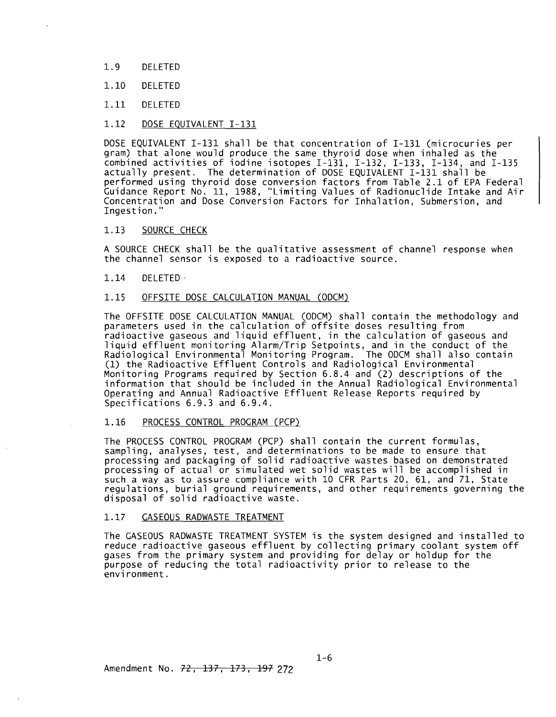- 1.9 DELETED
- 1.10 DELETED
- 1.11 DELETED

### 1.12 DOSE EQUIVALENT 1-131

DOSE EQUIVALENT 1-131 shall be that concentration of 1-131 (microcuries per gram) that alone would produce the same thyroid dose when inhaled as the combined activities of iodine isotopes 1-131, 1-132, 1-133, 1-134, and 1-135 actually present. The determination of DOSE EQUIVALENT 1-131 shall be performed using thyroid dose conversion factors from Table 2.1 of EPA Federal Guidance Report No. 11, 1988, "Limiting Values of Radionuclide Intake and Air Concentration and Dose Conversion Factors for Inhalation, Submersion, and Ingestion."

### 1.13 SOURCE CHECK

A SOURCE CHECK shall be the qualitative assessment of channel response when the channel sensor is exposed to a radioactive source.

### 1.14 DELETED .

### 1.15 OFFSITE DOSE CALCULATION MANUAL (ODCM)

The OFFSITE DOSE CALCULATION MANUAL (ODCM) shall contain the methodology and parameters used in the calculation of offsite doses resulting from radioactive gaseous and liquid effluent, in the calculation of gaseous and liquid effluent monitoring Alarm/Trip Setpoints, and in the conduct of the Radiological Environmental Monitoring Program. The ODCM shall also contain (1) the Radioactive Effluent Controls and Radiological Environmental Monitoring Programs required by Section 6.8.4 and (2) descriptions of the information that should be included in the Annual Radiological Environmental Operating and Annual Radioactive Effluent Release Reports required by<br>Specifications 6.9.3 and 6.9.4.

### 1.16 PROCESS CONTROL PROGRAM (PCP)

The PROCESS CONTROL PROGRAM (PCP) shall contain the current formulas, sampling, analyses, test, and determinations to be made to ensure that processing and packaging of solid radioactive wastes based on demonstrated processing of actual or simulated wet solid wastes will be accomplished in such a way as to assure compliance with 10 CFR Parts 20, 61, and 71, State regulations, burial ground requirements, and other requirements governing the disposal of solid radioactive waste.

#### 1.17 GASEOUS RADWASTE TREATMENT

The GASEOUS RADWASTE TREATMENT SYSTEM is the system designed and installed to reduce radioactive gaseous effluent by collecting primary coolant system off gases from the primary system and providing for delay or holdup for the purpose of reducing the total radioactivity prior to release to the environment.

Amendment No. <del>72, 137, 173, 197</del> 272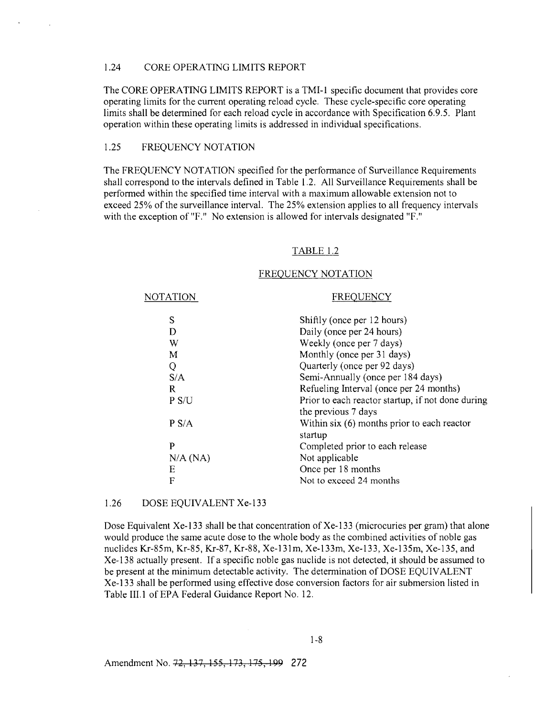## 1.24 CORE OPERATING LIMITS REPORT

The CORE OPERATING LIMITS REPORT is a TMI-I specific document that provides core operating limits for the current operating reload cycle. These cycle-specific core operating limits shall be determined for each reload cycle in accordance with Specification 6.9.5. Plant operation within these operating limits is addressed in individual specifications.

### 1.25 FREQUENCY NOTATION

The FREQUENCY NOTATION specified for the performance of Surveillance Requirements shall correspond to the intervals defined in Table 1.2. All Surveillance Requirements shall be performed within the specified time interval with a maximum allowable extension not to exceed 25% of the surveillance interval. The 25% extension applies to all frequency intervals with the exception of "F." No extension is allowed for intervals designated "F."

#### TABLE 1.2

#### FREQUENCY NOTATION

| NOTATION | <b>FREQUENCY</b>                                                         |
|----------|--------------------------------------------------------------------------|
| S        | Shiftly (once per 12 hours)                                              |
| D        | Daily (once per 24 hours)                                                |
| W        | Weekly (once per 7 days)                                                 |
| M        | Monthly (once per 31 days)                                               |
| Q        | Quarterly (once per 92 days)                                             |
| S/A      | Semi-Annually (once per 184 days)                                        |
| R        | Refueling Interval (once per 24 months)                                  |
| P S/U    | Prior to each reactor startup, if not done during<br>the previous 7 days |
| P S/A    | Within $s$ ix $(6)$ months prior to each reactor<br>startup              |
| P        | Completed prior to each release                                          |
| N/A (NA) | Not applicable                                                           |
| Ε        | Once per 18 months                                                       |
| F        | Not to exceed 24 months                                                  |
|          |                                                                          |

### 1.26 DOSE EQUIVALENT Xe-133

Dose Equivalent Xe-133 shall be that concentration of Xe-133 (microcuries per gram) that alone would produce the same acute dose to the whole body as the combined activities of noble gas nuclides Kr-85m, Kr-85, Kr-87, Kr-88, Xe-131m, Xe-133m, Xe-133, Xe-135m, Xe-135, and Xe-138 actually present. If a specific noble gas nuclide is not detected, it should be assumed to be present at the minimum detectable activity. The determination of DOSE EQUIVALENT Xe-133 shall be performed using effective dose conversion factors for air submersion listed in Table III.1 of EPA Federal Guidance Report No. 12.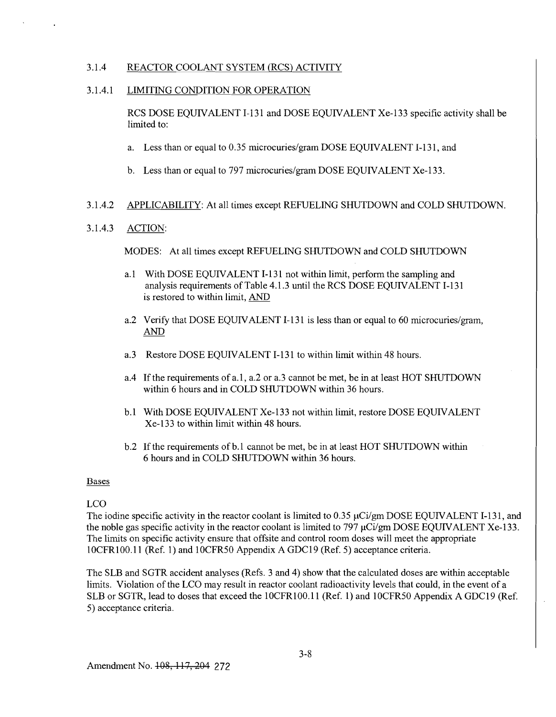## 3.1.4 REACTOR COOLANT SYSTEM (RCS) ACTIVITY

## 3.1.4.1 LIMITING CONDITION FOR OPERATION

RCS DOSE EQUIVALENT 1-131 and DOSE EQUIVALENT Xe-133 specific activity shall be limited to:

- a. Less than or equal to 0.35 microcuries/gram DOSE EQUIVALENT I-131, and
- b. Less than or equal to 797 microcuries/gram DOSE EQUIVALENT Xe-133.

## 3.1.4.2 APPLICABILITY: At all times except REFUELING SHUTDOWN and COLD SHUTDOWN.

## 3.1.4.3 ACTION:

MODES: At all times except REFUELING SHUTDOWN and COLD SHUTDOWN

- a.1 With DOSE EQUIVALENT I-131 not within limit, perform the sampling and analysis requirements of Table 4.1.3 until the RCS DOSE EQUIVALENT 1-131 is restored to within limit, AND
- a.2 Verify that DOSE EQUIVALENT 1-131 is less than or equal to 60 microcuries/gram, AND
- a.3 Restore DOSE EQUIVALENT 1-131 to within limit within 48 hours.
- a.4 If the requirements of a.1, a.2 or a.3 cannot be met, be in at least HOT SHUTDOWN within 6 hours and in COLD SHUTDOWN within 36 hours.
- b.1 With DOSE EQUIVALENT Xe-133 not within limit, restore DOSE EQUIVALENT Xe-133 to within limit within 48 hours.
- b.2 If the requirements of b.1 cannot be met, be in at least HOT SHUTDOWN within 6 hours and in COLD SHUTDOWN within 36 hours.

## Bases

# LCO

The iodine specific activity in the reactor coolant is limited to 0.35  $\mu$ Ci/gm DOSE EQUIVALENT I-131, and the noble gas specific activity in the reactor coolant is limited to 797  $\mu$ Ci/gm DOSE EQUIVALENT Xe-133. The limits on specific activity ensure that offsite and control room doses will meet the appropriate IOCFR100.11 (Ref. 1) and 10CFR50 Appendix A GDCl9 (Ref. 5) acceptance criteria.

The SLB and SGTR accident analyses (Refs. 3 and 4) show that the calculated doses are within acceptable limits. Violation of the LCO may result in reactor coolant radioactivity levels that could, in the event of a SLB or SGTR, lead to doses that exceed the 10CFR100.11 (Ref. I) and 10CFR50 Appendix A GDC19 (Ref. 5) acceptance criteria.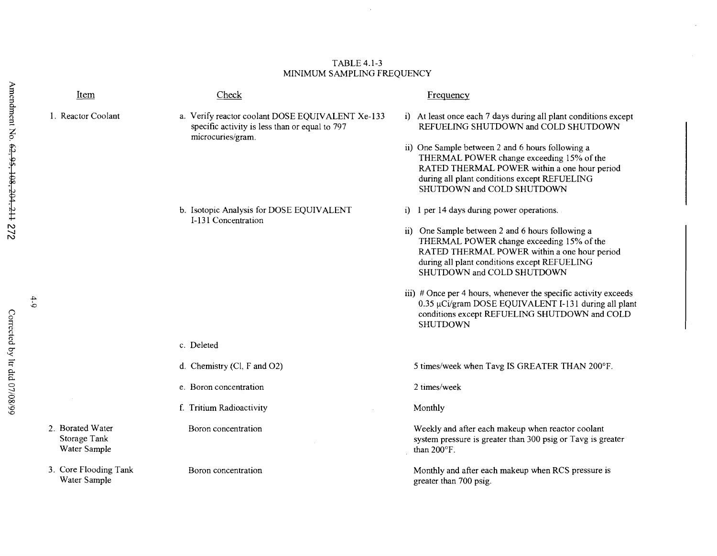# s Item Check Check Frequency 1. Reactor Coolant **a. Verify reactor coolant DOSE EQUIVALENT Xe-133** specific activity is less than or equal to 797 microcuries/gram. i) At least once each 7 days during all plant conditions except REFUELING SHUTDOWN and COLD SHUTDOWN ii) One Sample between 2 and 6 hours following a THERMAL POWER change exceeding 15% of the RATED THERMAL POWER within a one hour period during all plant conditions except REFUELING SHUTDOWN and COLD SHUTDOWN b. Isotopic Analysis for DOSE EQUIVALENT i) 1 per 14 days during power operations. I-131 Concentration ii) One Sample between 2 and 6 hours following a THERMAL POWER change exceeding 15% of the RATED THERMAL POWER within a one hour period during all plant conditions except REFUELING SHUTDOWN and COLD SHUTDOWN ii) # Once per 4 hours, whenever the specific activity exceeds<br>0.35 µCi/gram DOSE EQUIVALENT I-131 during all plan  $0.35 \mu$ Ci/gram DOSE EQUIVALENT I-131 during all plant <sup>0</sup>conditions except REFUELING SHUTDOWN and COLD  $\frac{1}{2}$ c. Deleted d. Chemistry (Cl, F and O2) 5 times/week when Tavg IS GREATER THAN 200°F. e. Boron concentration and the same concentration and the same concentration and the same concentration and the same concentration and  $\alpha$  and  $\alpha$  and  $\alpha$  and  $\alpha$  and  $\alpha$  and  $\alpha$  and  $\alpha$  and  $\alpha$  and  $\alpha$  and  $\alpha$  a f. Tritium Radioactivity **Monthly** 2. Borated Water **Boron concentration** Boron Concentration Weekly and after each makeup when reactor coolant Storage Tank Subsection and Subsection and Subsection and Subsection and Subsection System pressure is greater than 300 psig or Tavg is greater Water Sample than 200°F. 3. Core Flooding Tank Boron concentration Boron Superintensity and after each makeup when RCS pressure is Water Sample greater than 700 psig.

### TABLE 4.1-3 MINIMUM SAMPLING FREQUENCY

 $\tilde{\Omega}$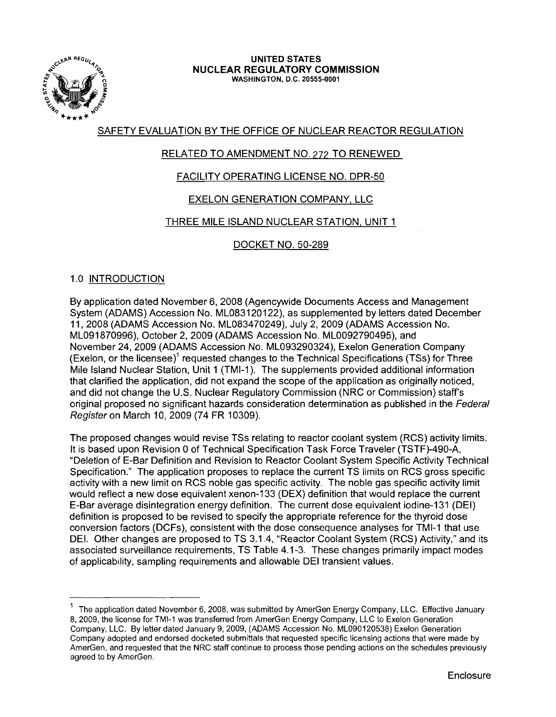

### UNITED STATES NUCLEAR REGULATORY COMMISSION WASHINGTON, D.C. 20555-0001

# SAFETY EVALUATION BY THE OFFICE OF NUCLEAR REACTOR REGULATION

# RELATED TO AMENDMENT NO. 272 TO RENEWED

# FACILITY OPERATING LICENSE NO. DPR-50

# EXELON GENERATION COMPANY, LLC

# THREE MILE ISLAND NUCLEAR STATION, UNIT 1

# DOCKET NO. 50-289

# 1.0 INTRODUCTION

By application dated November 6, 2008 (Agencywide Documents Access and Management System (ADAMS) Accession No. ML083120122), as supplemented by letters dated December 11,2008 (ADAMS Accession No. ML083470249), July 2, 2009 (ADAMS Accession No. ML091870996), October 2, 2009 (ADAMS Accession No. ML0092790495), and November 24, 2009 (ADAMS Accession No. ML093290324), Exelon Generation Company (Exelon, or the licensee)' requested changes to the Technical Specifications (TSs) for Three Mile Island Nuclear Station, Unit 1 (TMI-1). The supplements provided additional information that clarified the application, did not expand the scope of the application as originally noticed, and did not change the U.S. Nuclear Regulatory Commission (NRC or Commission) staff's original proposed no significant hazards consideration determination as published in the Federal Register on March 10,2009 (74 FR 10309).

The proposed changes would revise TSs relating to reactor coolant system (RCS) activity limits. It is based upon Revision 0 of Technical Specification Task Force Traveler (TSTF)-490-A, "Deletion of E-Bar Definition and Revision to Reactor Coolant System Specific Activity Technical Specification." The application proposes to replace the current TS limits on RCS gross specific activity with a new limit on RCS noble gas specific activity. The noble gas specific activity limit would reflect a new dose equivalent xenon-133 (DEX) definition that would replace the current E-Bar average disintegration energy definition. The current dose equivalent iodine-131 (DEI) definition is proposed to be revised to specify the appropriate reference for the thyroid dose conversion factors (DCFs), consistent with the dose consequence analyses for TMI-1 that use DEI. Other changes are proposed to TS 3.1.4, "Reactor Coolant System (RCS) Activity," and its associated surveillance requirements, TS Table 4.1-3. These changes primarily impact modes of applicability, sampling requirements and allowable DEI transient values.

<sup>1</sup> The application dated November 6, 2008, was submitted by AmerGen Energy Company, LLC. Effective January 8, 2009, the license for TMI-1 was transferred from AmerGen Energy Company, LLC to Exelon Generation Company, LLC. By letter dated January 9,2009, (ADAMS Accession No. ML090120538) Exelon Generation Company adopted and endorsed docketed submittals that requested specific licensing actions that were made by AmerGen, and requested that the NRC staff continue to process those pending actions on the schedules previously agreed to by AmerGen.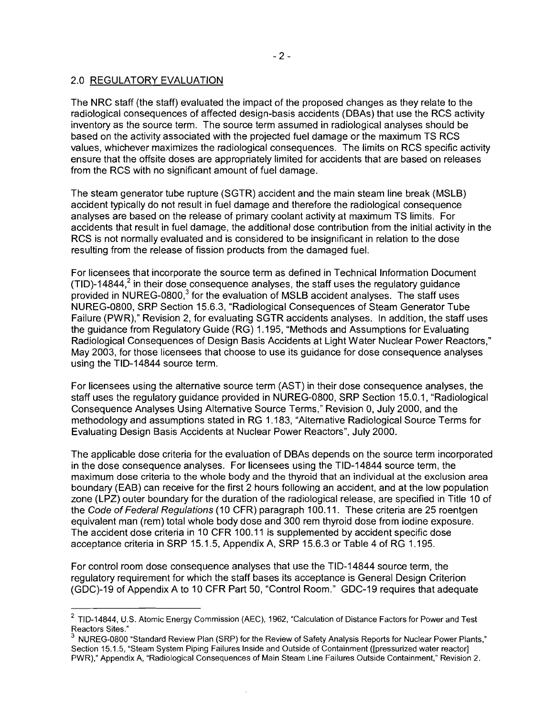## 2.0 REGULATORY EVALUATION

The NRC staff (the staff) evaluated the impact of the proposed changes as they relate to the radiological consequences of affected design-basis accidents (DBAs) that use the RCS activity inventory as the source term. The source term assumed in radiological analyses should be based on the activity associated with the projected fuel damage or the maximum TS RCS values, whichever maximizes the radiological consequences. The limits on RCS specific activity ensure that the offsite doses are appropriately limited for accidents that are based on releases from the RCS with no significant amount of fuel damage.

The steam generator tube rupture (SGTR) accident and the main steam line break (MSLB) accident typically do not result in fuel damage and therefore the radiological consequence analyses are based on the release of primary coolant activity at maximum TS limits. For accidents that result in fuel damage, the additional dose contribution from the initial activity in the RCS is not normally evaluated and is considered to be insignificant in relation to the dose resulting from the release of fission products from the damaged fuel.

For licensees that incorporate the source term as defined in Technical Information Document (TID)-14844, $2$  in their dose consequence analyses, the staff uses the regulatory quidance provided in NUREG-0800. $3$  for the evaluation of MSLB accident analyses. The staff uses NUREG-0800, SRP Section 15.6.3, "Radiological Consequences of Steam Generator Tube Failure (PWR)," Revision 2, for evaluating SGTR accidents analyses. In addition, the staff uses the guidance from Regulatory Guide (RG) 1.195, "Methods and Assumptions for Evaluating Radiological Consequences of Design Basis Accidents at Light Water Nuclear Power Reactors," May 2003, for those licensees that choose to use its guidance for dose consequence analyses using the TID-14844 source term.

For licensees using the alternative source term (AST) in their dose consequence analyses, the staff uses the regulatory guidance provided in NUREG-0800, SRP Section 15.0.1, "Radiological Consequence Analyses Using Alternative Source Terms," Revision 0, July 2000, and the methodology and assumptions stated in RG 1.183, "Alternative Radiological Source Terms for Evaluating Design Basis Accidents at Nuclear Power Reactors", July 2000.

The applicable dose criteria for the evaluation of DBAs depends on the source term incorporated in the dose consequence analyses. For licensees using the TID-14844 source term, the maximum dose criteria to the whole body and the thyroid that an individual at the exclusion area boundary (EAB) can receive for the first 2 hours following an accident, and at the low population zone (LPZ) outer boundary for the duration of the radiological release, are specified in Title 10 of the Code of Federal Regulations (10 CFR) paragraph 100.11. These criteria are 25 roentgen equivalent man (rem) total whole body dose and 300 rem thyroid dose from iodine exposure. The accident dose criteria in 10 CFR 100.11 is supplemented by accident specific dose acceptance criteria in SRP 15.1.5, Appendix A, SRP 15.6.3 or Table 4 of RG 1.195.

For control room dose consequence analyses that use the TID-14844 source term, the regulatory requirement for which the staff bases its acceptance is General Design Criterion (GDC)-19 of Appendix A to 10 CFR Part 50, "Control Room." GDC-19 requires that adequate

<sup>2</sup> TID-14844, U.S. Atomic Energy Commission (AEC), 1962, "Calculation of Distance Factors for Power and Test Reactors Sites."

<sup>3</sup> NUREG-0800 "Standard Review Plan (SRP) for the Review of Safety Analysis Reports for Nuclear Power Plants," Section 15.1.5, "Steam System Piping Failures Inside and Outside of Containment ([pressurized water reactor] PWR)," Appendix A, "Radiological Consequences of Main Steam Line Failures Outside Containment," Revision 2.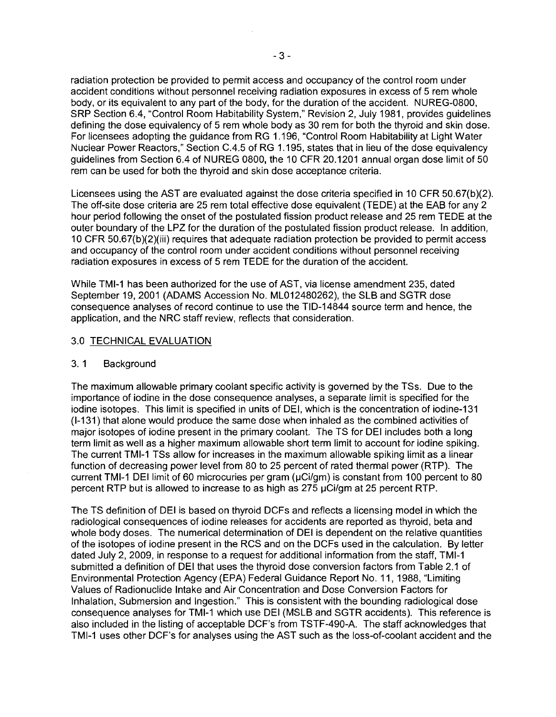radiation protection be provided to permit access and occupancy of the control room under accident conditions without personnel receiving radiation exposures in excess of 5 rem whole body, or its equivalent to any part of the body, for the duration of the accident. NUREG-0800, SRP Section 6.4, "Control Room Habitability System," Revision 2, July 1981, provides guidelines defining the dose equivalency of 5 rem whole body as 30 rem for both the thyroid and skin dose. For licensees adopting the guidance from RG 1.196, "Control Room Habitability at Light Water Nuclear Power Reactors," Section C.4.5 of RG 1.195, states that in lieu of the dose equivalency guidelines from Section 6.4 of NUREG 0800, the 10 CFR 20.1201 annual organ dose limit of 50 rem can be used for both the thyroid and skin dose acceptance criteria.

Licensees using the AST are evaluated against the dose criteria specified in 10 CFR 50.67(b)(2). The off-site dose criteria are 25 rem total effective dose equivalent (TEDE) at the EAB for any 2 hour period following the onset of the postulated fission product release and 25 rem TEDE at the outer boundary of the LPZ for the duration of the postulated fission product release. In addition, 10 CFR 50.67(b)(2)(iii) requires that adequate radiation protection be provided to permit access and occupancy of the control room under accident conditions without personnel receiving radiation exposures in excess of 5 rem TEDE for the duration of the accident.

While TMI-1 has been authorized for the use of AST, via license amendment 235, dated September 19, 2001 (ADAMS Accession No. ML012480262), the SLB and SGTR dose consequence analyses of record continue to use the TID-14844 source term and hence, the application, and the NRC staff review, reflects that consideration.

### 3.0 TECHNICAL EVALUATION

### 3. 1 Background

The maximum allowable primary coolant specific activity is governed by the TSs. Due to the importance of iodine in the dose consequence analyses, a separate limit is specified for the iodine isotopes. This limit is specified in units of DEI, which is the concentration of iodine-131 (I-131) that alone would produce the same dose when inhaled as the combined activities of major isotopes of iodine present in the primary coolant. The TS for DEI includes both a long term limit as well as a higher maximum allowable short term limit to account for iodine spiking. The current TMI-1 TSs allow for increases in the maximum allowable spiking limit as a linear function of decreasing power level from 80 to 25 percent of rated thermal power (RTP). The current TMI-1 DEI limit of 60 microcuries per gram (µCi/gm) is constant from 100 percent to 80 percent RTP but is allowed to increase to as high as  $275 \mu$ Ci/gm at 25 percent RTP.

The TS definition of DEI is based on thyroid DCFs and reflects a licensing model in which the radiological consequences of iodine releases for accidents are reported as thyroid, beta and whole body doses. The numerical determination of DEI is dependent on the relative quantities of the isotopes of iodine present in the RCS and on the DCFs used in the calculation. By letter dated July 2,2009, in response to a request for additional information from the staff, TMI-1 submitted a definition of DEI that uses the thyroid dose conversion factors from Table 2.1 of Environmental Protection Agency (EPA) Federal Guidance Report No. 11, 1988, "Limiting Values of Radionuclide Intake and Air Concentration and Dose Conversion Factors for Inhalation, Submersion and Ingestion." This is consistent with the bounding radiological dose consequence analyses for TMI-1 which use DEI (MSLB and SGTR accidents). This reference is also included in the listing of acceptable DCF's from TSTF-490-A. The staff acknowledges that TMI-1 uses other DCF's for analyses using the AST such as the loss-of-coolant accident and the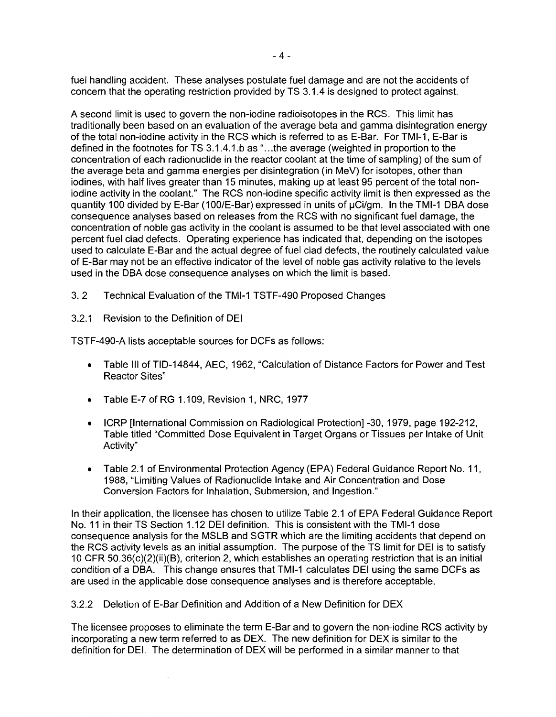fuel handling accident. These analyses postulate fuel damage and are not the accidents of concern that the operating restriction provided by TS 3.1.4 is designed to protect against.

A second limit is used to govern the non-iodine radioisotopes in the RCS. This limit has traditionally been based on an evaluation of the average beta and gamma disintegration energy of the total non-iodine activity in the RCS which is referred to as E-Bar. For TMI-1. E-Bar is defined in the footnotes for TS 3.1.4.1.b as "...the average (weighted in proportion to the concentration of each radionuclide in the reactor coolant at the time of sampling) of the sum of the average beta and gamma energies per disintegration (in MeV) for isotopes, other than. iodines, with half lives greater than 15 minutes, making up at least 95 percent of the total noniodine activity in the coolant." The RCS non-iodine specific activity limit is then expressed as the quantity 100 divided by E-Bar (100/E-Bar) expressed in units of  $\mu$ Ci/gm. In the TMI-1 DBA dose consequence analyses based on releases from the RCS with no significant fuel damage, the concentration of noble gas activity in the coolant is assumed to be that level associated with one percent fuel clad defects. Operating experience has indicated that, depending on the isotopes used to calculate E-Bar and the actual degree of fuel clad defects, the routinely calculated value of E-Bar may not be an effective indicator of the level of noble gas activity relative to the levels used in the DBA dose consequence analyses on which the limit is based.

3. 2 Technical Evaluation of the TMI-1 TSTF-490 Proposed Changes

## 3.2.1 Revision to the Definition of DEI

TSTF-490-A lists acceptable sources for DCFs as follows:

- Table III of TID-14844, AEC, 1962, "Calculation of Distance Factors for Power and Test Reactor Sites"
- • Table E-7 of RG 1.109, Revision 1, NRC, 1977
- ICRP [International Commission on Radiological Protection] -30, 1979, page 192-212, Table titled "Committed Dose Equivalent in Target Organs or Tissues per Intake of Unit Activity"
- Table 2.1 of Environmental Protection Agency (EPA) Federal Guidance Report No. 11, 1988, "Limiting Values of Radionuclide Intake and Air Concentration and Dose Conversion Factors for Inhalation, Submersion, and Ingestion."

In their application, the licensee has chosen to utilize Table 2.1 of EPA Federal Guidance Report No. 11 in their TS Section 1.12 DEI definition. This is consistent with the TMI-1 dose consequence analysis for the MSLB and SGTR which are the limiting accidents that depend on the RCS activity levels as an initial assumption. The purpose of the TS limit for DEI is to satisfy 10 CFR 50.36(c)(2)(ii)(B), criterion 2, which establishes an operating restriction that is an initial condition of a DBA. This change ensures that TMI-1 calculates DEI using the same DCFs as are used in the applicable dose consequence analyses and is therefore acceptable.

3.2.2 Deletion of E-Bar Definition and Addition of a New Definition for DEX

The licensee proposes to eliminate the term E-Bar and to govern the non-iodine RCS activity by incorporating a new term referred to as DEX. The new definition for DEX is similar to the definition for DEI. The determination of DEX will be performed in a similar manner to that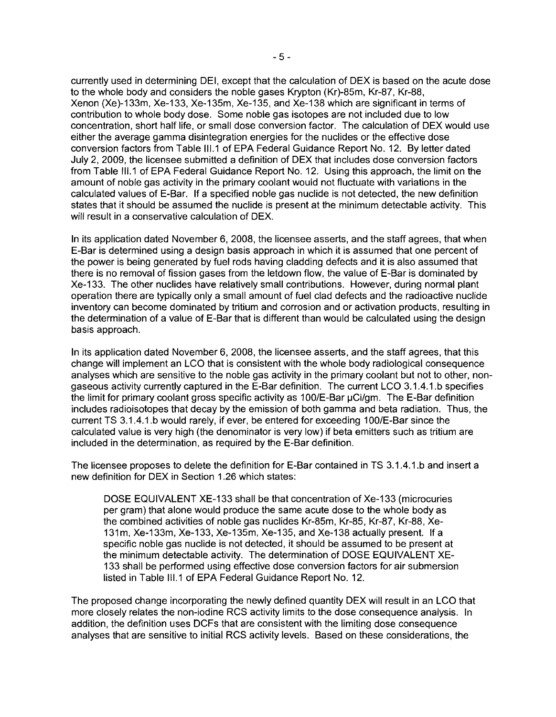currently used in determining DEI, except that the calculation of DEX is based on the acute dose to the whole body and considers the noble gases Krypton (Kr)-85m, Kr-87, Kr-88, Xenon (Xe)-133m, Xe-133, Xe-135m, Xe-135, and Xe-138 which are significant in terms of contribution to whole body dose. Some noble gas isotopes are not included due to low concentration, short half life, or small dose conversion factor. The calculation of DEX would use either the average gamma disintegration energies for the nuclides or the effective dose conversion factors from Table 111.1 of EPA Federal Guidance Report No. 12. By letter dated July 2, 2009, the licensee submitted a definition of DEX that includes dose conversion factors from Table 111.1 of EPA Federal Guidance Report No. 12. Using this approach, the limit on the amount of noble gas activity in the primary coolant would not fluctuate with variations in the calculated values of E-Bar. If a specified noble gas nuclide is not detected, the new definition states that it should be assumed the nuclide is present at the minimum detectable activity. This will result in a conservative calculation of DEX.

In its application dated November 6, 2008, the licensee asserts, and the staff agrees, that when E-Bar is determined using a design basis approach in which it is assumed that one percent of the power is being generated by fuel rods having cladding defects and it is also assumed that there is no removal of fission gases from the letdown flow, the value of E-Bar is dominated by Xe-133. The other nuclides have relatively small contributions. However, during normal plant operation there are typically only a small amount of fuel clad defects and the radioactive nuclide inventory can become dominated by tritium and corrosion and or activation products, resulting in the determination of a value of E-Bar that is different than would be calculated using the design basis approach.

In its application dated November 6, 2008, the licensee asserts, and the staff agrees, that this change will implement an LCO that is consistent with the whole body radiological consequence analyses which are sensitive to the noble gas activity in the primary coolant but not to other, nongaseous activity currently captured in the E-Bar definition. The current LCO 3.1.4.1.b specifies the limit for primary coolant gross specific activity as 100/E-Bar  $\mu$ Ci/gm. The E-Bar definition includes radioisotopes that decay by the emission of both gamma and beta radiation. Thus, the current TS 3.1.4.1.b would rarely, if ever, be entered for exceeding 1OO/E-Bar since the calculated value is very high (the denominator is very low) if beta emitters such as tritium are included in the determination, as required by the E-Bar definition.

The licensee proposes to delete the definition for E-Bar contained in TS 3.1.4.1.b and insert a new definition for DEX in Section 1.26 which states:

DOSE EQUIVALENT XE-133 shall be that concentration of Xe-133 (microcuries per gram) that alone would produce the same acute dose to the whole body as the combined activities of noble gas nuclides Kr-85m, Kr-85, Kr-87, Kr-88, Xe-131m, Xe-133m, Xe-133, Xe-135m, Xe-135, and Xe-138 actually present. If a specific noble gas nuclide is not detected, it should be assumed to be present at the minimum detectable activity. The determination of DOSE EQUIVALENT XE-133 shall be performed using effective dose conversion factors for air submersion listed in Table 111.1 of EPA Federal Guidance Report No. 12.

The proposed change incorporating the newly defined quantity DEX will result in an LCO that more closely relates the non-iodine RCS activity limits to the dose consequence analysis. In addition, the definition uses DCFs that are consistent with the limiting dose consequence analyses that are sensitive to initial RCS activity levels. Based on these considerations, the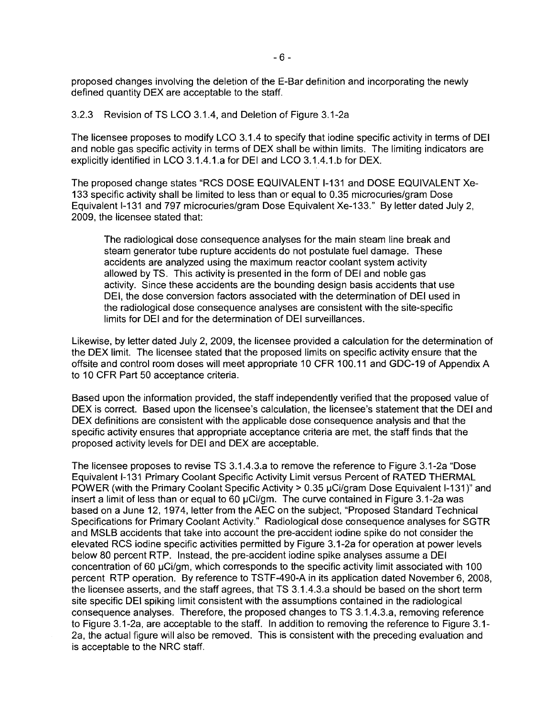proposed changes involving the deletion of the E-Bar definition and incorporating the newly defined quantity DEX are acceptable to the staff.

### 3.2.3 Revision of TS LCO 3.1.4, and Deletion of Figure 3.1-2a

The licensee proposes to modify LCO 3.1.4 to specify that iodine specific activity in terms of DEI and noble gas specific activity in terms of DEX shall be within limits. The limiting indicators are explicitly identified in LCO 3.1.4.1.a for DEI and LCO 3.1.4.1.b for DEX.

The proposed change states "RCS DOSE EQUIVALENT 1-131 and DOSE EQUIVALENT Xe-133 specific activity shall be limited to less than or equal to 0.35 microcuries/gram Dose Equivalent 1-131 and 797 microcuries/gram Dose Equivalent Xe-133." By letter dated July 2, 2009, the licensee stated that:

The radiological dose consequence analyses for the main steam line break and steam generator tube rupture accidents do not postulate fuel damage. These accidents are analyzed using the maximum reactor coolant system activity allowed by TS. This activity is presented in the form of DEI and noble gas activity. Since these accidents are the bounding design basis accidents that use DEI, the dose conversion factors associated with the determination of DEI used in the radiological dose consequence analyses are consistent with the site-specific limits for DEI and for the determination of DEI surveillances.

Likewise, by letter dated July 2,2009, the licensee provided a calculation for the determination of the DEX limit. The licensee stated that the proposed limits on specific activity ensure that the offsite and control room doses will meet appropriate 10 CFR 100.11 and GDC-19 of Appendix A to 10 CFR Part 50 acceptance criteria.

Based upon the information provided, the staff independently verified that the proposed value of DEX is correct. Based upon the licensee's calculation, the licensee's statement that the DEI and DEX definitions are consistent with the applicable dose consequence analysis and that the specific activity ensures that appropriate acceptance criteria are met, the staff finds that the proposed activity levels for DEI and DEX are acceptable.

The licensee proposes to revise TS 3.1.4.3.a to remove the reference to Figure 3.1-2a "Dose Equivalent 1-131 Primary Coolant Specific Activity Limit versus Percent of RATED THERMAL POWER (with the Primary Coolant Specific Activity > 0.35 µCi/gram Dose Equivalent I-131)" and insert a limit of less than or equal to 60 µCi/gm. The curve contained in Figure 3.1-2a was based on a June 12, 1974, letter from the AEC on the subject, "Proposed Standard Technical Specifications for Primary Coolant Activity." Radiological dose consequence analyses for SGTR and MSLB accidents that take into account the pre-accident iodine spike do not consider the elevated RCS iodine specific activities permitted by Figure 3.1-2a for operation at power levels below 80 percent RTP. Instead, the pre-accident iodine spike analyses assume a DEI concentration of 60 µCi/gm, which corresponds to the specific activity limit associated with 100 percent RTP operation. By reference to TSTF-490-A in its application dated November 6, 2008, the licensee asserts, and the staff agrees, that TS 3.1.4.3.a should be based on the short term site specific DEI spiking limit consistent with the assumptions contained in the radiological consequence analyses. Therefore, the proposed changes to TS 3.1.4.3.a, removing reference to Figure 3.1-2a, are acceptable to the staff. In addition to removing the reference to Figure 3.1 2a, the actual figure will also be removed. This is consistent with the preceding evaluation and is acceptable to the NRC staff.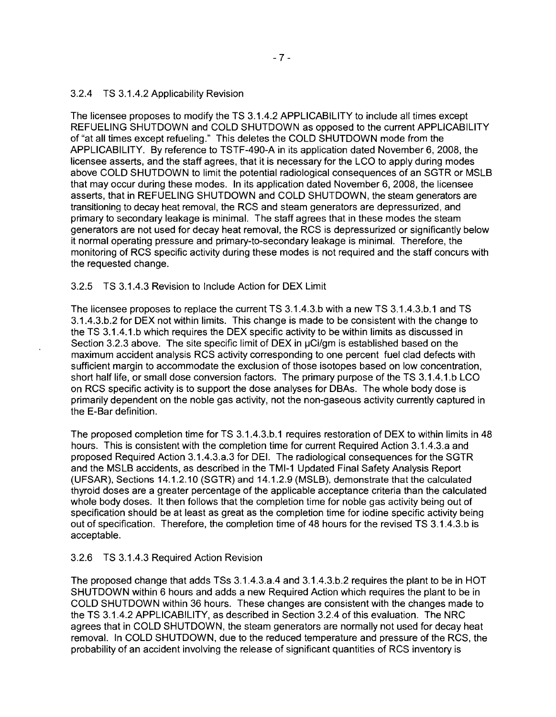## 3.2.4 TS 3.1.4.2 Applicability Revision

The licensee proposes to modify the TS 3.1.4.2 APPLICABILITY to include all times except REFUELING SHUTDOWN and COLD SHUTDOWN as opposed to the current APPLICABILITY of "at all times except refueling." This deletes the COLD SHUTDOWN mode from the APPLICABILITY. By reference to TSTF-490-A in its application dated November 6, 2008, the licensee asserts, and the staff agrees, that it is necessary for the LCO to apply during modes above COLD SHUTDOWN to limit the potential radiological consequences of an SGTR or MSLB that may occur during these modes. In its application dated November 6,2008, the licensee asserts, that in REFUELING SHUTDOWN and COLD SHUTDOWN, the steam generators are transitioning to decay heat removal, the RCS and steam generators are depressurized, and primary to secondary leakage is minimal. The staff agrees that in these modes the steam generators are not used for decay heat removal, the RCS is depressurized or significantly below it normal operating pressure and primary-to-secondary leakage is minimal. Therefore, the monitoring of RCS specific activity during these modes is not required and the staff concurs with the requested change.

# 3.2.5 TS 3.1.4.3 Revision to Include Action for DEX Limit

The licensee proposes to replace the current TS 3.1.4.3.b with a new TS 3.1.4.3.b.1 and TS 3.1.4.3.b.2 for DEX not within limits. This change is made to be consistent with the change to the TS 3.1.4.1.b which requires the DEX specific activity to be within limits as discussed in Section 3.2.3 above. The site specific limit of DEX in  $\mu$ Ci/gm is established based on the maximum accident analysis RCS activity corresponding to one percent fuel clad defects with sufficient margin to accommodate the exclusion of those isotopes based on low concentration, short half life, or small dose conversion factors. The primary purpose of the TS 3.1.4.1.b LCO on RCS specific activity is to support the dose analyses for DBAs. The whole body dose is primarily dependent on the noble gas activity, not the non-gaseous activity currently captured in the E-Bar definition.

The proposed completion time for TS 3.1.4.3.b.1 requires restoration of DEX to within limits in 48 hours. This is consistent with the completion time for current Required Action 3.1.4.3.a and proposed Required Action 3.1.4.3.a.3 for DEI. The radiological consequences for the SGTR and the MSLB accidents, as described in the TMI-1 Updated Final Safety Analysis Report (UFSAR), Sections 14.1.2.10 (SGTR) and 14.1.2.9 (MSLB), demonstrate that the calculated thyroid doses are a greater percentage of the applicable acceptance criteria than the calculated whole body doses. It then follows that the completion time for noble gas activity being out of specification should be at least as great as the completion time for iodine specific activity being out of specification. Therefore, the completion time of 48 hours for the revised TS 3.1.4.3.b is acceptable.

# 3.2.6 TS 3.1.4.3 Required Action Revision

The proposed change that adds TSs 3.1.4.3.a.4 and 3.1.4.3.b.2 requires the plant to be in HOT SHUTDOWN within 6 hours and adds a new Required Action which requires the plant to be in COLD SHUTDOWN within 36 hours. These changes are consistent with the changes made to the TS 3.1.4.2 APPLICABILITY, as described in Section 3.2.4 of this evaluation. The NRC agrees that in COLD SHUTDOWN, the steam generators are normally not used for decay heat removal. In COLD SHUTDOWN, due to the reduced temperature and pressure of the RCS, the probability of an accident involving the release of significant quantities of RCS inventory is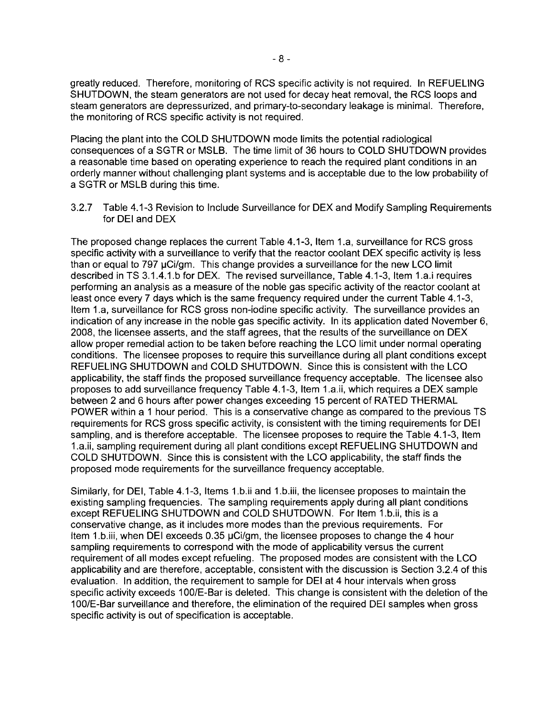greatly reduced. Therefore, monitoring of RCS specific activity is not required. In REFUELING SHUTDOWN, the steam generators are not used for decay heat removal, the RCS loops and steam generators are depressurized, and primary-to-secondary leakage is minimal. Therefore, the monitoring of RCS specific activity is not required.

Placing the plant into the COLD SHUTDOWN mode limits the potential radiological consequences of a SGTR or MSLB. The time limit of 36 hours to COLD SHUTDOWN provides a reasonable time based on operating experience to reach the required plant conditions in an orderly manner without challenging plant systems and is acceptable due to the low probability of a SGTR or MSLB during this time.

3.2.7 Table 4.1-3 Revision to Include Surveillance for DEX and Modify Sampling Requirements for DEI and DEX

The proposed change replaces the current Table 4.1-3, Item 1.a, surveillance for RCS gross specific activity with a surveillance to verify that the reactor coolant DEX specific activity ls less than or equal to 797 µCi/gm. This change provides a surveillance for the new LCO limit described in TS 3.1.4.1.b for DEX. The revised surveillance, Table 4.1-3, Item 1.a.i requires performing an analysis as a measure of the noble gas specific activity of the reactor coolant at least once every 7 days which is the same frequency required under the current Table 4.1-3, Item 1.a, surveillance for RCS gross non-iodine specific activity. The surveillance provides an indication of any increase in the noble gas specific activity. In its application dated November 6, 2008, the licensee asserts, and the staff agrees, that the results of the surveillance on DEX allow proper remedial action to be taken before reaching the LCO limit under normal operating conditions. The licensee proposes to require this surveillance during all plant conditions except REFUELING SHUTDOWN and COLD SHUTDOWN. Since this is consistent with the LCO applicability, the staff finds the proposed surveillance frequency acceptable. The licensee also proposes to add surveillance frequency Table 4.1-3, Item 1.a.ii, which requires a DEX sample between 2 and 6 hours after power changes exceeding 15 percent of RATED THERMAL POWER within a 1 hour period. This is a conservative change as compared to the previous TS requirements for RCS gross specific activity, is consistent with the timing requirements for DEI sampling, and is therefore acceptable. The licensee proposes to require the Table 4.1-3, Item 1.a.ii, sampling requirement during all plant conditions except REFUELING SHUTDOWN and COLD SHUTDOWN. Since this is consistent with the LCO applicability, the staff finds the proposed mode requirements for the surveillance frequency acceptable.

Similarly, for DEI, Table 4.1-3, Items 1.b.ii and 1.b.iii, the licensee proposes to maintain the existing sampling frequencies. The sampling requirements apply during all plant conditions except REFUELING SHUTDOWN and COLD SHUTDOWN. For Item 1.b.ii, this is a conservative change, as it includes more modes than the previous requirements. For Item 1.b.iii, when DEI exceeds 0.35 µCi/gm, the licensee proposes to change the 4 hour sampling requirements to correspond with the mode of applicability versus the current requirement of all modes except refueling. The proposed modes are consistent with the LCO applicability and are therefore, acceptable, consistent with the discussion is Section 3.2.4 of this evaluation. In addition, the requirement to sample for DEI at 4 hour intervals when gross specific activity exceeds 100/E-Bar is deleted. This change is consistent with the deletion of the 1ODIE-Bar surveillance and therefore, the elimination of the required DEI samples when gross specific activity is out of specification is acceptable.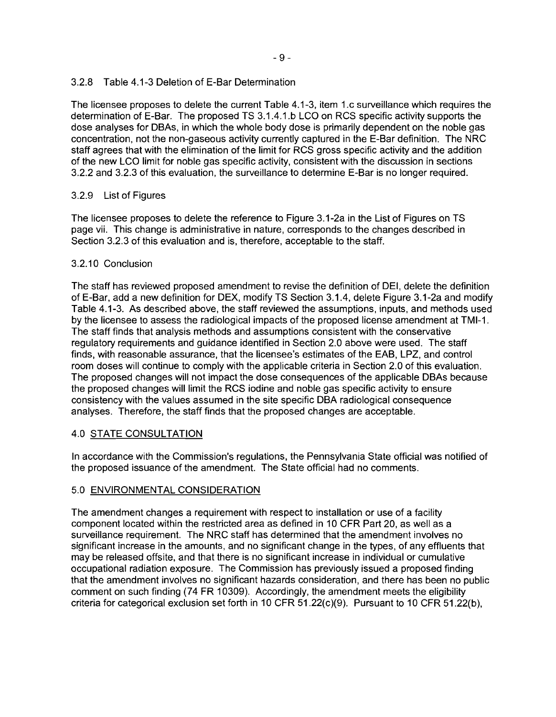# 3.2.8 Table 4.1-3 Deletion of E-Bar Determination

The licensee proposes to delete the current Table 4.1-3, item 1.c surveillance which requires the determination of E-Bar. The proposed TS 3.1.4.1.b LCO on RCS specific activity supports the dose analyses for DBAs, in which the whole body dose is primarily dependent on the noble gas concentration, not the non-gaseous activity currently captured in the E-Bar definition. The NRC staff agrees that with the elimination of the limit for RCS gross specific activity and the addition of the new LCO limit for noble gas specific activity, consistent with the discussion in sections 3.2.2 and 3.2.3 of this evaluation, the surveillance to determine E-Bar is no longer required.

# 3.2.9 List of Figures

The licensee proposes to delete the reference to Figure 3.1-2a in the List of Figures on TS page vii. This change is administrative in nature, corresponds to the changes described in Section 3.2.3 of this evaluation and is, therefore, acceptable to the staff.

# 3.2.10 Conclusion

The staff has reviewed proposed amendment to revise the definition of DEI, delete the definition of E-Bar, add a new definition for DEX, modify TS Section 3.1.4, delete Figure 3.1-2a and modify Table 4.1-3. As described above, the staff reviewed the assumptions, inputs, and methods used by the licensee to assess the radiological impacts of the proposed license amendment at TMI-1. The staff finds that analysis methods and assumptions consistent with the conservative regulatory requirements and guidance identified in Section 2.0 above were used. The staff finds, with reasonable assurance, that the licensee's estimates of the EAB, LPZ, and control room doses will continue to comply with the applicable criteria in Section 2.0 of this evaluation. The proposed changes will not impact the dose consequences of the applicable DBAs because the proposed changes will limit the RCS iodine and noble gas specific activity to ensure consistency with the values assumed in the site specific DBA radiological consequence analyses. Therefore, the staff finds that the proposed changes are acceptable.

# 4.0 STATE CONSULTATION

In accordance with the Commission's regulations, the Pennsylvania State official was notified of the proposed issuance of the amendment. The State official had no comments.

# 5.0 ENVIRONMENTAL CONSIDERATION

The amendment changes a requirement with respect to installation or use of a facility component located within the restricted area as defined in 10 CFR Part 20, as well as a surveillance requirement. The NRC staff has determined that the amendment involves no significant increase in the amounts, and no significant change in the types, of any effluents that may be released offsite, and that there is no significant increase in individual or cumulative occupational radiation exposure. The Commission has previously issued a proposed finding that the amendment involves no significant hazards consideration, and there has been no public comment on such finding (74 FR 10309). Accordingly, the amendment meets the eligibility criteria for categorical exclusion set forth in 10 CFR 51.22(c)(9). Pursuant to 10 CFR 51.22(b),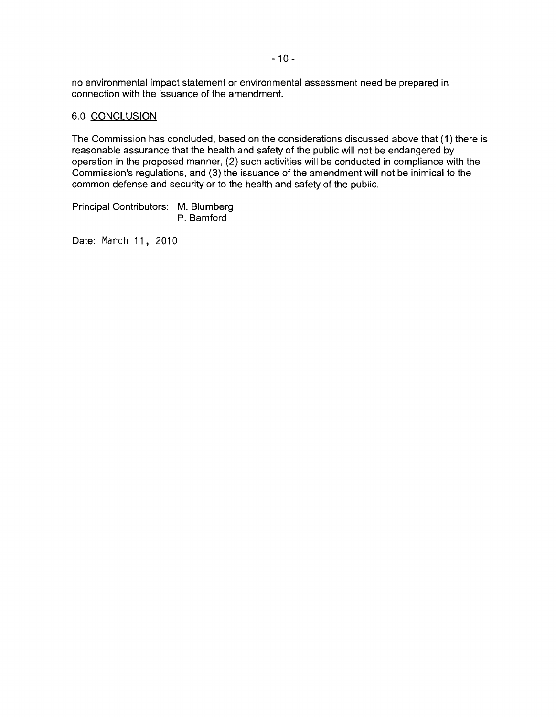no environmental impact statement or environmental assessment need be prepared in connection with the issuance of the amendment.

### 6.0 CONCLUSION

The Commission has concluded, based on the considerations discussed above that (1) there is reasonable assurance that the health and safety of the public will not be endangered by operation in the proposed manner, (2) such activities will be conducted in compliance with the Commission's regulations, and (3) the issuance of the amendment will not be inimical to the common defense and security or to the health and safety of the public.

 $\bar{\mathcal{A}}$ 

Principal Contributors: M. Blumberg P. Bamford

Date: March 11, 2010